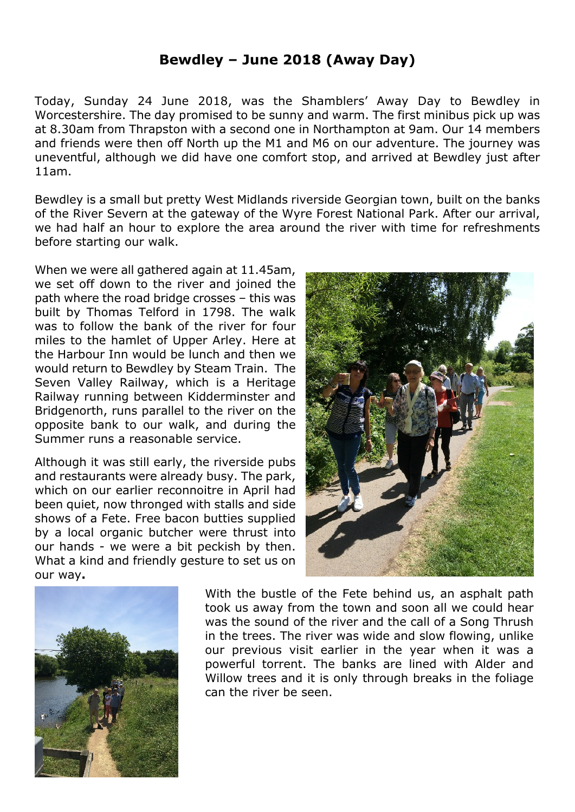## **Bewdley – June 2018 (Away Day)**

Today, Sunday 24 June 2018, was the Shamblers' Away Day to Bewdley in Worcestershire. The day promised to be sunny and warm. The first minibus pick up was at 8.30am from Thrapston with a second one in Northampton at 9am. Our 14 members and friends were then off North up the M1 and M6 on our adventure. The journey was uneventful, although we did have one comfort stop, and arrived at Bewdley just after 11am.

Bewdley is a small but pretty West Midlands riverside Georgian town, built on the banks of the River Severn at the gateway of the Wyre Forest National Park. After our arrival, we had half an hour to explore the area around the river with time for refreshments before starting our walk.

When we were all gathered again at 11.45am, we set off down to the river and joined the path where the road bridge crosses – this was built by Thomas Telford in 1798. The walk was to follow the bank of the river for four miles to the hamlet of Upper Arley. Here at the Harbour Inn would be lunch and then we would return to Bewdley by Steam Train. The Seven Valley Railway, which is a Heritage Railway running between Kidderminster and Bridgenorth, runs parallel to the river on the opposite bank to our walk, and during the Summer runs a reasonable service.

Although it was still early, the riverside pubs and restaurants were already busy. The park, which on our earlier reconnoitre in April had been quiet, now thronged with stalls and side shows of a Fete. Free bacon butties supplied by a local organic butcher were thrust into our hands - we were a bit peckish by then. What a kind and friendly gesture to set us on our way**.**





With the bustle of the Fete behind us, an asphalt path took us away from the town and soon all we could hear was the sound of the river and the call of a Song Thrush in the trees. The river was wide and slow flowing, unlike our previous visit earlier in the year when it was a powerful torrent. The banks are lined with Alder and Willow trees and it is only through breaks in the foliage can the river be seen.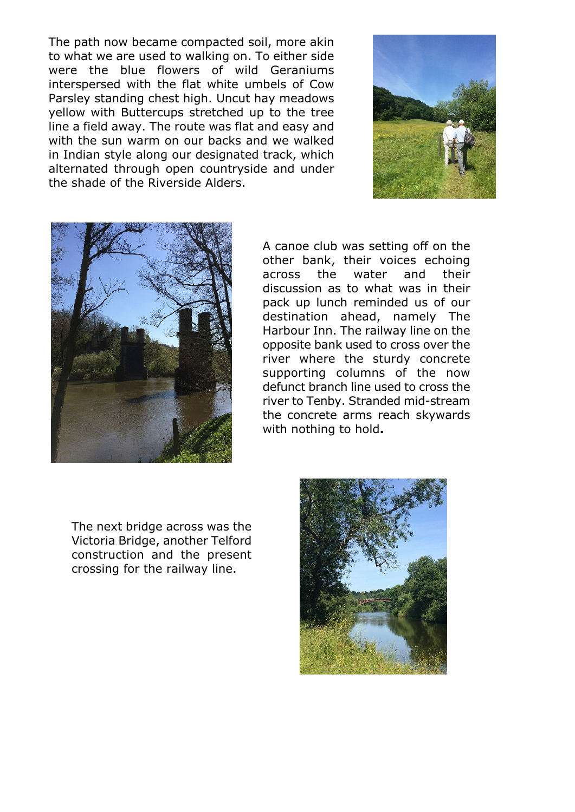The path now became compacted soil, more akin to what we are used to walking on. To either side were the blue flowers of wild Geraniums interspersed with the flat white umbels of Cow Parsley standing chest high. Uncut hay meadows yellow with Buttercups stretched up to the tree line a field away. The route was flat and easy and with the sun warm on our backs and we walked in Indian style along our designated track, which alternated through open countryside and under the shade of the Riverside Alders.





A canoe club was setting off on the other bank, their voices echoing across the water and their discussion as to what was in their pack up lunch reminded us of our destination ahead, namely The Harbour Inn. The railway line on the opposite bank used to cross over the river where the sturdy concrete supporting columns of the now defunct branch line used to cross the river to Tenby. Stranded mid-stream the concrete arms reach skywards with nothing to hold**.**

The next bridge across was the Victoria Bridge, another Telford construction and the present crossing for the railway line.

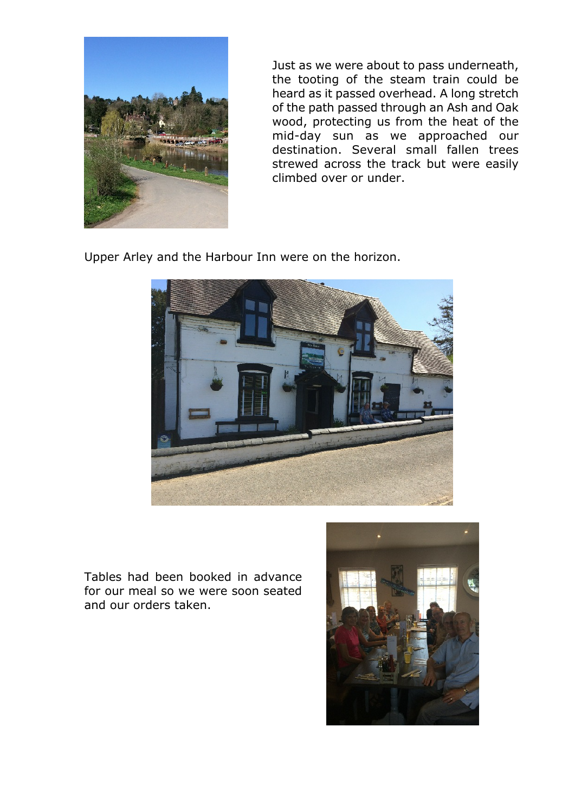

Just as we were about to pass underneath, the tooting of the steam train could be heard as it passed overhead. A long stretch of the path passed through an Ash and Oak wood, protecting us from the heat of the mid-day sun as we approached our destination. Several small fallen trees strewed across the track but were easily climbed over or under.

Upper Arley and the Harbour Inn were on the horizon.



Tables had been booked in advance for our meal so we were soon seated and our orders taken.